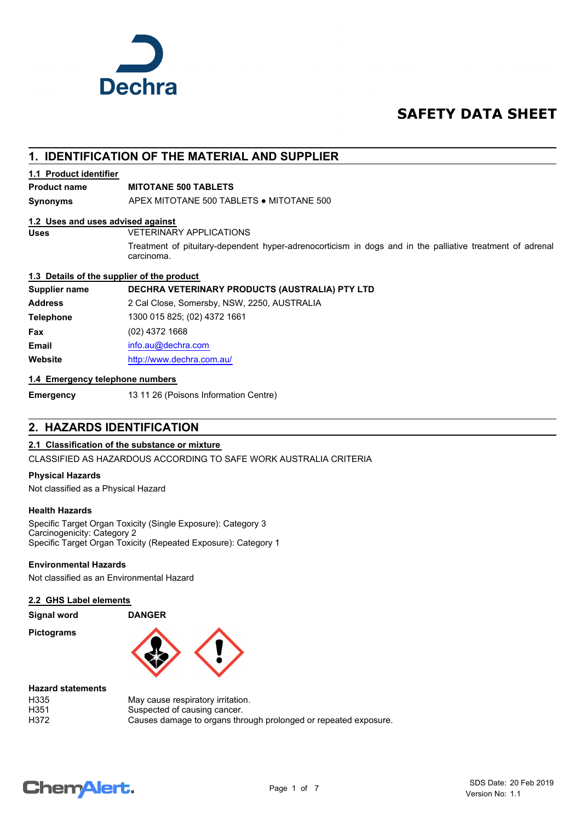

## **SAFETY DATA SHEET**

## **1. IDENTIFICATION OF THE MATERIAL AND SUPPLIER**

#### **1.1 Product identifier**

#### **Product name MITOTANE 500 TABLETS**

**Synonyms** APEX MITOTANE 500 TABLETS ● MITOTANE 500

#### **1.2 Uses and uses advised against**

**Uses** VETERINARY APPLICATIONS

Treatment of pituitary-dependent hyper-adrenocorticism in dogs and in the palliative treatment of adrenal carcinoma.

#### **1.3 Details of the supplier of the product**

**Supplier name DECHRA VETERINARY PRODUCTS (AUSTRALIA) PTY LTD**

**Address** 2 Cal Close, Somersby, NSW, 2250, AUSTRALIA **Telephone** 1300 015 825; (02) 4372 1661 **Fax** (02) 4372 1668 **Email** [info.au@](mailto:info.au@dechra.com)dechra.com **Website** [http://www.](http://www.dechra.com.au/)dechra.com.au/

#### **1.4 Emergency telephone numbers**

**Emergency** 13 11 26 (Poisons Information Centre)

## **2. HAZARDS IDENTIFICATION**

#### **2.1 Classification of the substance or mixture**

CLASSIFIED AS HAZARDOUS ACCORDING TO SAFE WORK AUSTRALIA CRITERIA

#### **Physical Hazards**

Not classified as a Physical Hazard

#### **Health Hazards**

Specific Target Organ Toxicity (Single Exposure): Category 3 Carcinogenicity: Category 2 Specific Target Organ Toxicity (Repeated Exposure): Category 1

### **Environmental Hazards**

Not classified as an Environmental Hazard

#### **2.2 GHS Label elements**

| <b>Signal word</b> |  |  |
|--------------------|--|--|
|--------------------|--|--|

**Pictograms**



| <b>Hazard statements</b> |                                                                 |
|--------------------------|-----------------------------------------------------------------|
| H335                     | May cause respiratory irritation.                               |
| H351                     | Suspected of causing cancer.                                    |
| H372                     | Causes damage to organs through prolonged or repeated exposure. |
|                          |                                                                 |

## **ChemAlert.**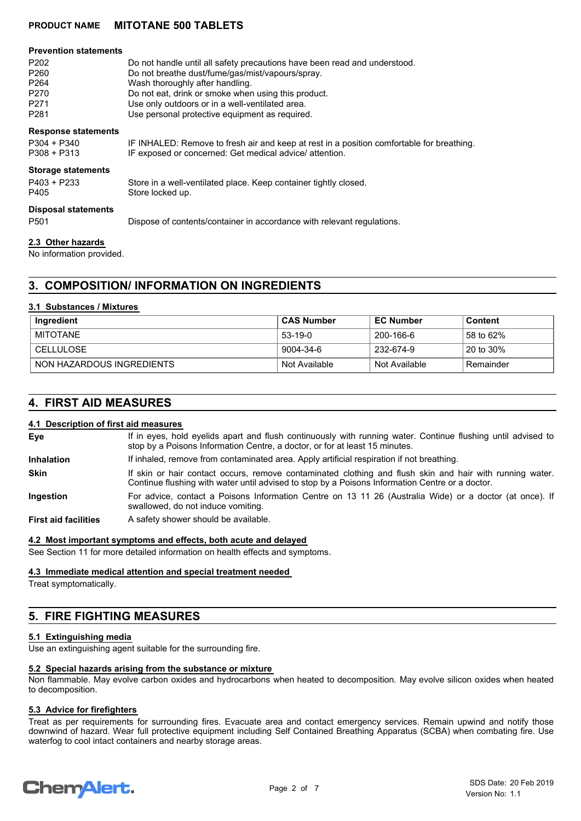### **PRODUCT NAME MITOTANE 500 TABLETS**

| <b>Prevention statements</b><br>P <sub>202</sub><br>P <sub>260</sub><br>P <sub>264</sub><br>P <sub>270</sub><br>P <sub>271</sub><br>P <sub>281</sub> | Do not handle until all safety precautions have been read and understood.<br>Do not breathe dust/fume/gas/mist/vapours/spray.<br>Wash thoroughly after handling.<br>Do not eat, drink or smoke when using this product.<br>Use only outdoors or in a well-ventilated area.<br>Use personal protective equipment as required. |
|------------------------------------------------------------------------------------------------------------------------------------------------------|------------------------------------------------------------------------------------------------------------------------------------------------------------------------------------------------------------------------------------------------------------------------------------------------------------------------------|
| <b>Response statements</b><br>$P304 + P340$<br>$P308 + P313$                                                                                         | IF INHALED: Remove to fresh air and keep at rest in a position comfortable for breathing.<br>IF exposed or concerned: Get medical advice/attention.                                                                                                                                                                          |
| <b>Storage statements</b><br>P403 + P233<br>P405                                                                                                     | Store in a well-ventilated place. Keep container tightly closed.<br>Store locked up.                                                                                                                                                                                                                                         |
| <b>Disposal statements</b><br>P <sub>501</sub>                                                                                                       | Dispose of contents/container in accordance with relevant regulations.                                                                                                                                                                                                                                                       |
| 2.3 Other hazards                                                                                                                                    |                                                                                                                                                                                                                                                                                                                              |

No information provided.

## **3. COMPOSITION/ INFORMATION ON INGREDIENTS**

#### **3.1 Substances / Mixtures**

| Ingredient                | ∣ CAS Number  | <b>EC Number</b> | Content   |
|---------------------------|---------------|------------------|-----------|
| MITOTANE                  | 53-19-0       | 200-166-6        | 58 to 62% |
| ⊢CELLULOSE                | 9004-34-6     | 232-674-9        | 20 to 30% |
| NON HAZARDOUS INGREDIENTS | Not Available | Not Available    | Remainder |

### **4. FIRST AID MEASURES**

#### **4.1 Description of first aid measures**

If in eyes, hold eyelids apart and flush continuously with running water. Continue flushing until advised to stop by a Poisons Information Centre, a doctor, or for at least 15 minutes. **Eye Inhalation** If inhaled, remove from contaminated area. Apply artificial respiration if not breathing. If skin or hair contact occurs, remove contaminated clothing and flush skin and hair with running water. Continue flushing with water until advised to stop by a Poisons Information Centre or a doctor. **Skin** For advice, contact a Poisons Information Centre on 13 11 26 (Australia Wide) or a doctor (at once). If swallowed, do not induce vomiting. **Ingestion**

**First aid facilities** A safety shower should be available.

#### **4.2 Most important symptoms and effects, both acute and delayed**

See Section 11 for more detailed information on health effects and symptoms.

#### **4.3 Immediate medical attention and special treatment needed**

Treat symptomatically.

## **5. FIRE FIGHTING MEASURES**

#### **5.1 Extinguishing media**

Use an extinguishing agent suitable for the surrounding fire.

#### **5.2 Special hazards arising from the substance or mixture**

Non flammable. May evolve carbon oxides and hydrocarbons when heated to decomposition. May evolve silicon oxides when heated to decomposition.

#### **5.3 Advice for firefighters**

Treat as per requirements for surrounding fires. Evacuate area and contact emergency services. Remain upwind and notify those downwind of hazard. Wear full protective equipment including Self Contained Breathing Apparatus (SCBA) when combating fire. Use waterfog to cool intact containers and nearby storage areas.

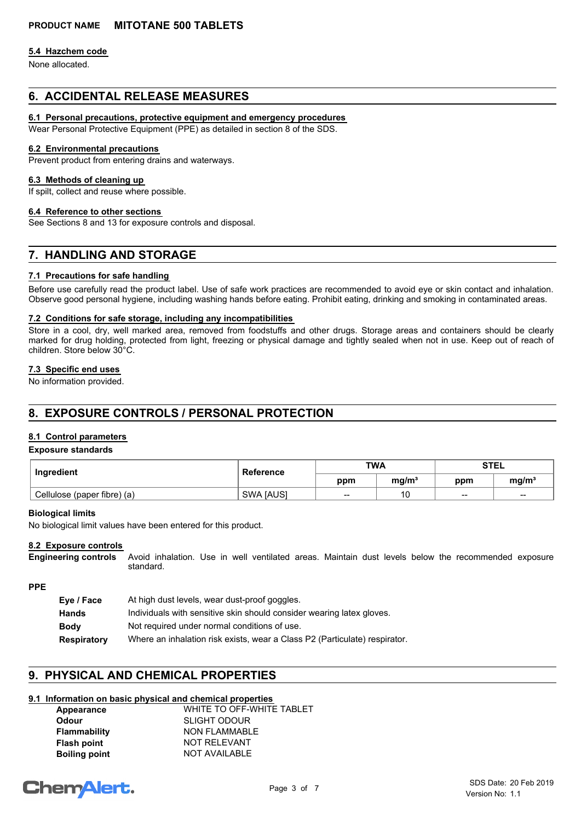#### **5.4 Hazchem code**

None allocated.

## **6. ACCIDENTAL RELEASE MEASURES**

#### **6.1 Personal precautions, protective equipment and emergency procedures**

Wear Personal Protective Equipment (PPE) as detailed in section 8 of the SDS.

#### **6.2 Environmental precautions**

Prevent product from entering drains and waterways.

#### **6.3 Methods of cleaning up**

If spilt, collect and reuse where possible.

#### **6.4 Reference to other sections**

See Sections 8 and 13 for exposure controls and disposal.

## **7. HANDLING AND STORAGE**

#### **7.1 Precautions for safe handling**

Before use carefully read the product label. Use of safe work practices are recommended to avoid eye or skin contact and inhalation. Observe good personal hygiene, including washing hands before eating. Prohibit eating, drinking and smoking in contaminated areas.

#### **7.2 Conditions for safe storage, including any incompatibilities**

Store in a cool, dry, well marked area, removed from foodstuffs and other drugs. Storage areas and containers should be clearly marked for drug holding, protected from light, freezing or physical damage and tightly sealed when not in use. Keep out of reach of children. Store below 30°C.

#### **7.3 Specific end uses**

No information provided.

## **8. EXPOSURE CONTROLS / PERSONAL PROTECTION**

#### **8.1 Control parameters**

#### **Exposure standards**

| Ingredient                  | Reference        | <b>TWA</b> |           | <b>STEL</b>              |                   |
|-----------------------------|------------------|------------|-----------|--------------------------|-------------------|
|                             |                  | ppm        | mg/m $^3$ | ppm                      | mg/m <sup>3</sup> |
| Cellulose (paper fibre) (a) | <b>SWA JAUSI</b> | $- -$      | 10        | $\overline{\phantom{a}}$ | $-$               |

#### **Biological limits**

No biological limit values have been entered for this product.

#### **8.2 Exposure controls**

Avoid inhalation. Use in well ventilated areas. Maintain dust levels below the recommended exposure standard. **Engineering controls**

#### **PPE**

| Eye / Face  | At high dust levels, wear dust-proof goggles.                              |
|-------------|----------------------------------------------------------------------------|
| Hands       | Individuals with sensitive skin should consider wearing latex gloves.      |
| <b>Body</b> | Not required under normal conditions of use.                               |
| Respiratory | Where an inhalation risk exists, wear a Class P2 (Particulate) respirator. |

## **9. PHYSICAL AND CHEMICAL PROPERTIES**

### **9.1 Information on basic physical and chemical properties**

| Appearance           | WHITE TO OFF-WHITE TABLET |
|----------------------|---------------------------|
| Odour                | <b>SLIGHT ODOUR</b>       |
| <b>Flammability</b>  | <b>NON FLAMMABLE</b>      |
| <b>Flash point</b>   | <b>NOT RELEVANT</b>       |
| <b>Boiling point</b> | <b>NOT AVAILABLE</b>      |
|                      |                           |

# **ChemAlert.**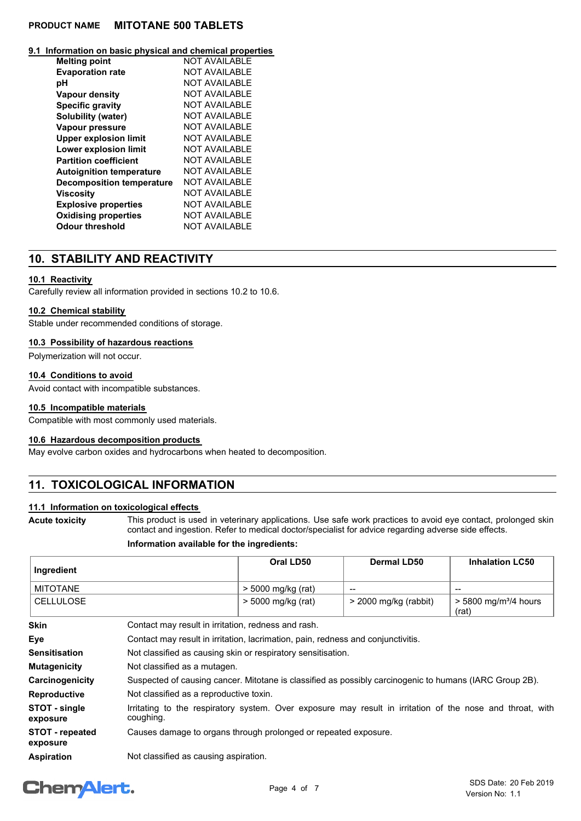### **PRODUCT NAME MITOTANE 500 TABLETS**

#### **9.1 Information on basic physical and chemical properties**

| <b>Melting point</b>             | <b>NOT AVAILABLE</b> |
|----------------------------------|----------------------|
| <b>Evaporation rate</b>          | <b>NOT AVAILABLE</b> |
| рH                               | <b>NOT AVAILABLE</b> |
| <b>Vapour density</b>            | NOT AVAILABLE        |
| <b>Specific gravity</b>          | <b>NOT AVAILABLE</b> |
| Solubility (water)               | <b>NOT AVAILABLE</b> |
| Vapour pressure                  | NOT AVAILABLE        |
| <b>Upper explosion limit</b>     | <b>NOT AVAILABLE</b> |
| <b>Lower explosion limit</b>     | NOT AVAILABLE        |
| <b>Partition coefficient</b>     | <b>NOT AVAILABLE</b> |
| <b>Autoignition temperature</b>  | <b>NOT AVAILABLE</b> |
| <b>Decomposition temperature</b> | <b>NOT AVAILABLE</b> |
| <b>Viscosity</b>                 | <b>NOT AVAILABLE</b> |
| <b>Explosive properties</b>      | <b>NOT AVAILABLE</b> |
| <b>Oxidising properties</b>      | <b>NOT AVAILABLE</b> |
| <b>Odour threshold</b>           | <b>NOT AVAILABLE</b> |

## **10. STABILITY AND REACTIVITY**

#### **10.1 Reactivity**

Carefully review all information provided in sections 10.2 to 10.6.

#### **10.2 Chemical stability**

Stable under recommended conditions of storage.

#### **10.3 Possibility of hazardous reactions**

Polymerization will not occur.

#### **10.4 Conditions to avoid**

Avoid contact with incompatible substances.

#### **10.5 Incompatible materials**

Compatible with most commonly used materials.

#### **10.6 Hazardous decomposition products**

May evolve carbon oxides and hydrocarbons when heated to decomposition.

## **11. TOXICOLOGICAL INFORMATION**

#### **11.1 Information on toxicological effects**

**Acute toxicity**

This product is used in veterinary applications. Use safe work practices to avoid eye contact, prolonged skin contact and ingestion. Refer to medical doctor/specialist for advice regarding adverse side effects.

#### **Information available for the ingredients:**

| Ingredient                         |                                                                                                                        | Oral LD50            | <b>Dermal LD50</b>    | <b>Inhalation LC50</b>                       |
|------------------------------------|------------------------------------------------------------------------------------------------------------------------|----------------------|-----------------------|----------------------------------------------|
| <b>MITOTANE</b>                    |                                                                                                                        | > 5000 mg/kg (rat)   | --                    | --                                           |
| <b>CELLULOSE</b>                   |                                                                                                                        | $>$ 5000 mg/kg (rat) | > 2000 mg/kg (rabbit) | $>$ 5800 mg/m <sup>3</sup> /4 hours<br>(rat) |
| <b>Skin</b>                        | Contact may result in irritation, redness and rash.                                                                    |                      |                       |                                              |
| Eye                                | Contact may result in irritation, lacrimation, pain, redness and conjunctivitis.                                       |                      |                       |                                              |
| <b>Sensitisation</b>               | Not classified as causing skin or respiratory sensitisation.                                                           |                      |                       |                                              |
| <b>Mutagenicity</b>                | Not classified as a mutagen.                                                                                           |                      |                       |                                              |
| Carcinogenicity                    | Suspected of causing cancer. Mitotane is classified as possibly carcinogenic to humans (IARC Group 2B).                |                      |                       |                                              |
| <b>Reproductive</b>                | Not classified as a reproductive toxin.                                                                                |                      |                       |                                              |
| STOT - single<br>exposure          | Irritating to the respiratory system. Over exposure may result in irritation of the nose and throat, with<br>coughing. |                      |                       |                                              |
| <b>STOT</b> - repeated<br>exposure | Causes damage to organs through prolonged or repeated exposure.                                                        |                      |                       |                                              |
| <b>Aspiration</b>                  | Not classified as causing aspiration.                                                                                  |                      |                       |                                              |

## **ChemAlert.**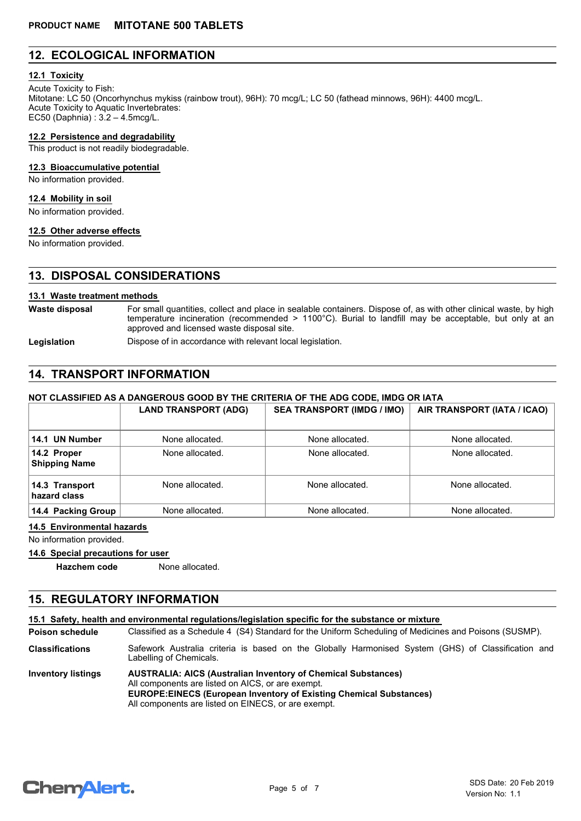## **12. ECOLOGICAL INFORMATION**

#### **12.1 Toxicity**

Acute Toxicity to Fish: Mitotane: LC 50 (Oncorhynchus mykiss (rainbow trout), 96H): 70 mcg/L; LC 50 (fathead minnows, 96H): 4400 mcg/L. Acute Toxicity to Aquatic Invertebrates: EC50 (Daphnia) : 3.2 – 4.5mcg/L.

**12.2 Persistence and degradability**

This product is not readily biodegradable.

#### **12.3 Bioaccumulative potential**

No information provided.

#### **12.4 Mobility in soil**

No information provided.

#### **12.5 Other adverse effects**

No information provided.

## **13. DISPOSAL CONSIDERATIONS**

#### **13.1 Waste treatment methods**

For small quantities, collect and place in sealable containers. Dispose of, as with other clinical waste, by high temperature incineration (recommended > 1100°C). Burial to landfill may be acceptable, but only at an approved and licensed waste disposal site. **Waste disposal**

**Legislation** Dispose of in accordance with relevant local legislation.

## **14. TRANSPORT INFORMATION**

#### **NOT CLASSIFIED AS A DANGEROUS GOOD BY THE CRITERIA OF THE ADG CODE, IMDG OR IATA**

|                                     | <b>LAND TRANSPORT (ADG)</b> | <b>SEA TRANSPORT (IMDG / IMO)</b> | AIR TRANSPORT (IATA / ICAO) |  |
|-------------------------------------|-----------------------------|-----------------------------------|-----------------------------|--|
|                                     |                             |                                   |                             |  |
| 14.1 UN Number                      | None allocated.             | None allocated.                   | None allocated.             |  |
| 14.2 Proper<br><b>Shipping Name</b> | None allocated.             | None allocated.                   | None allocated.             |  |
| 14.3 Transport<br>hazard class      | None allocated.             | None allocated.                   | None allocated.             |  |
| 14.4 Packing Group                  | None allocated.             | None allocated.                   | None allocated.             |  |

#### **14.5 Environmental hazards**

No information provided.

#### **14.6 Special precautions for user**

**Hazchem code** None allocated.

## **15. REGULATORY INFORMATION**

#### **15.1 Safety, health and environmental regulations/legislation specific for the substance or mixture**

Classified as a Schedule 4 (S4) Standard for the Uniform Scheduling of Medicines and Poisons (SUSMP). **Poison schedule**

Safework Australia criteria is based on the Globally Harmonised System (GHS) of Classification and Labelling of Chemicals. **Classifications**

| <b>Inventory listings</b> | <b>AUSTRALIA: AICS (Australian Inventory of Chemical Substances)</b>      |
|---------------------------|---------------------------------------------------------------------------|
|                           | All components are listed on AICS, or are exempt.                         |
|                           | <b>EUROPE:EINECS (European Inventory of Existing Chemical Substances)</b> |
|                           | All components are listed on EINECS, or are exempt.                       |

## **Chemalert.**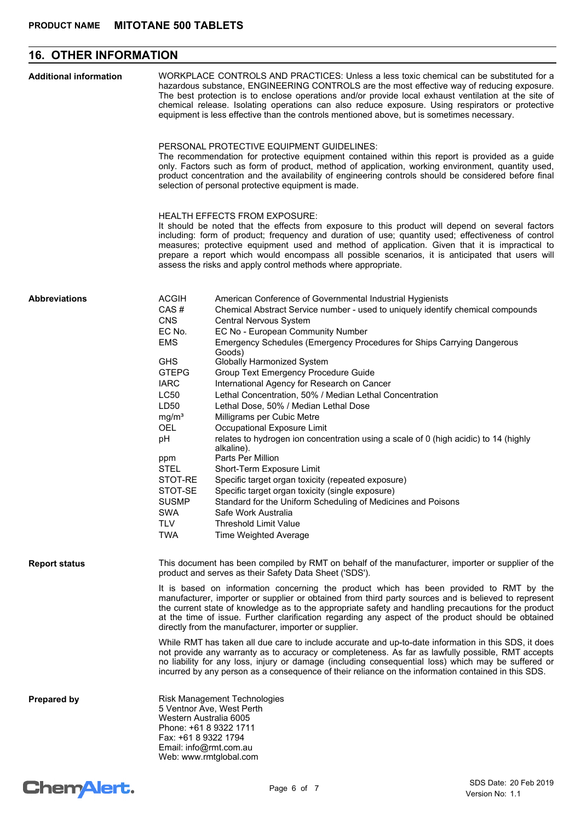## **16. OTHER INFORMATION**

| <b>Additional information</b> |                                                                                                                                                                                                                                                                        | WORKPLACE CONTROLS AND PRACTICES: Unless a less toxic chemical can be substituted for a<br>hazardous substance, ENGINEERING CONTROLS are the most effective way of reducing exposure.<br>The best protection is to enclose operations and/or provide local exhaust ventilation at the site of<br>chemical release. Isolating operations can also reduce exposure. Using respirators or protective<br>equipment is less effective than the controls mentioned above, but is sometimes necessary.<br>PERSONAL PROTECTIVE EQUIPMENT GUIDELINES:<br>The recommendation for protective equipment contained within this report is provided as a guide<br>only. Factors such as form of product, method of application, working environment, quantity used,<br>product concentration and the availability of engineering controls should be considered before final<br>selection of personal protective equipment is made.                                                                                                                                              |
|-------------------------------|------------------------------------------------------------------------------------------------------------------------------------------------------------------------------------------------------------------------------------------------------------------------|------------------------------------------------------------------------------------------------------------------------------------------------------------------------------------------------------------------------------------------------------------------------------------------------------------------------------------------------------------------------------------------------------------------------------------------------------------------------------------------------------------------------------------------------------------------------------------------------------------------------------------------------------------------------------------------------------------------------------------------------------------------------------------------------------------------------------------------------------------------------------------------------------------------------------------------------------------------------------------------------------------------------------------------------------------------|
|                               |                                                                                                                                                                                                                                                                        | <b>HEALTH EFFECTS FROM EXPOSURE:</b><br>It should be noted that the effects from exposure to this product will depend on several factors<br>including: form of product; frequency and duration of use; quantity used; effectiveness of control<br>measures; protective equipment used and method of application. Given that it is impractical to<br>prepare a report which would encompass all possible scenarios, it is anticipated that users will<br>assess the risks and apply control methods where appropriate.                                                                                                                                                                                                                                                                                                                                                                                                                                                                                                                                            |
| <b>Abbreviations</b>          | <b>ACGIH</b><br>CAS#<br><b>CNS</b><br>EC No.<br><b>EMS</b><br><b>GHS</b><br><b>GTEPG</b><br><b>IARC</b><br>LC50<br>LD50<br>mg/m <sup>3</sup><br><b>OEL</b><br>pH<br>ppm<br><b>STEL</b><br>STOT-RE<br>STOT-SE<br><b>SUSMP</b><br><b>SWA</b><br><b>TLV</b><br><b>TWA</b> | American Conference of Governmental Industrial Hygienists<br>Chemical Abstract Service number - used to uniquely identify chemical compounds<br>Central Nervous System<br>EC No - European Community Number<br>Emergency Schedules (Emergency Procedures for Ships Carrying Dangerous<br>Goods)<br>Globally Harmonized System<br>Group Text Emergency Procedure Guide<br>International Agency for Research on Cancer<br>Lethal Concentration, 50% / Median Lethal Concentration<br>Lethal Dose, 50% / Median Lethal Dose<br>Milligrams per Cubic Metre<br>Occupational Exposure Limit<br>relates to hydrogen ion concentration using a scale of 0 (high acidic) to 14 (highly<br>alkaline).<br>Parts Per Million<br>Short-Term Exposure Limit<br>Specific target organ toxicity (repeated exposure)<br>Specific target organ toxicity (single exposure)<br>Standard for the Uniform Scheduling of Medicines and Poisons<br>Safe Work Australia<br><b>Threshold Limit Value</b><br>Time Weighted Average                                                          |
| <b>Report status</b>          |                                                                                                                                                                                                                                                                        | This document has been compiled by RMT on behalf of the manufacturer, importer or supplier of the<br>product and serves as their Safety Data Sheet ('SDS').<br>It is based on information concerning the product which has been provided to RMT by the<br>manufacturer, importer or supplier or obtained from third party sources and is believed to represent<br>the current state of knowledge as to the appropriate safety and handling precautions for the product<br>at the time of issue. Further clarification regarding any aspect of the product should be obtained<br>directly from the manufacturer, importer or supplier.<br>While RMT has taken all due care to include accurate and up-to-date information in this SDS, it does<br>not provide any warranty as to accuracy or completeness. As far as lawfully possible, RMT accepts<br>no liability for any loss, injury or damage (including consequential loss) which may be suffered or<br>incurred by any person as a consequence of their reliance on the information contained in this SDS. |
| <b>Prepared by</b>            | 5 Ventnor Ave, West Perth<br>Western Australia 6005<br>Phone: +61 8 9322 1711<br>Fax: +61 8 9322 1794<br>Email: info@rmt.com.au<br>Web: www.rmtglobal.com                                                                                                              | Risk Management Technologies                                                                                                                                                                                                                                                                                                                                                                                                                                                                                                                                                                                                                                                                                                                                                                                                                                                                                                                                                                                                                                     |

# Chem<sup>Alert.</sup>